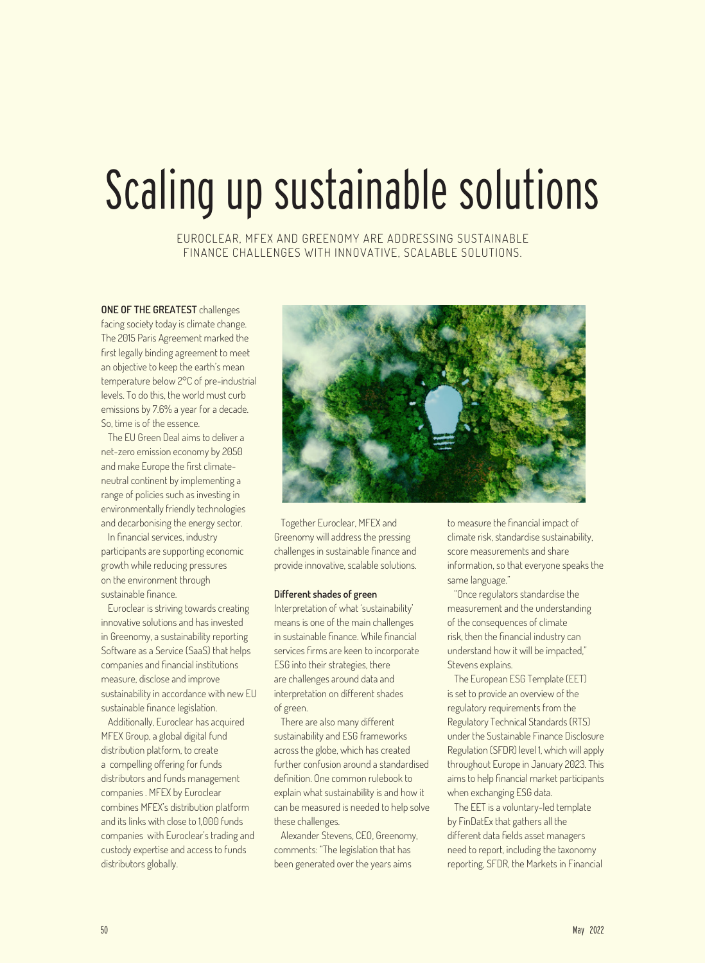## Scaling up sustainable solutions

EUROCLEAR, MFEX AND GREENOMY ARE ADDRESSING SUSTAINABLE FINANCE CHALLENGES WITH INNOVATIVE, SCALABLE SOLUTIONS.

**ONE OF THE GREATEST** challenges facing society today is climate change. The 2015 Paris Agreement marked the first legally binding agreement to meet an objective to keep the earth's mean temperature below 2°C of pre-industrial levels. To do this, the world must curb emissions by 7.6% a year for a decade. So, time is of the essence.

The EU Green Deal aims to deliver a net-zero emission economy by 2050 and make Europe the first climateneutral continent by implementing a range of policies such as investing in environmentally friendly technologies and decarbonising the energy sector.

In financial services, industry participants are supporting economic growth while reducing pressures on the environment through sustainable finance.

Euroclear is striving towards creating innovative solutions and has invested in Greenomy, a sustainability reporting Software as a Service (SaaS) that helps companies and financial institutions measure, disclose and improve sustainability in accordance with new EU sustainable finance legislation.

Additionally, Euroclear has acquired MFEX Group, a global digital fund distribution platform, to create a compelling offering for funds distributors and funds management companies . MFEX by Euroclear combines MFEX's distribution platform and its links with close to 1,000 funds companies with Euroclear's trading and custody expertise and access to funds distributors globally.



Together Euroclear, MFEX and Greenomy will address the pressing challenges in sustainable finance and provide innovative, scalable solutions.

## **Different shades of green**

Interpretation of what 'sustainability' means is one of the main challenges in sustainable finance. While financial services firms are keen to incorporate ESG into their strategies, there are challenges around data and interpretation on different shades of green.

There are also many different sustainability and ESG frameworks across the globe, which has created further confusion around a standardised definition. One common rulebook to explain what sustainability is and how it can be measured is needed to help solve these challenges.

Alexander Stevens, CEO, Greenomy, comments: "The legislation that has been generated over the years aims

to measure the financial impact of climate risk, standardise sustainability, score measurements and share information, so that everyone speaks the same language."

"Once regulators standardise the measurement and the understanding of the consequences of climate risk, then the financial industry can understand how it will be impacted," Stevens explains.

The European ESG Template (EET) is set to provide an overview of the regulatory requirements from the Regulatory Technical Standards (RTS) under the Sustainable Finance Disclosure Regulation (SFDR) level 1, which will apply throughout Europe in January 2023. This aims to help financial market participants when exchanging ESG data.

The EET is a voluntary-led template by FinDatEx that gathers all the different data fields asset managers need to report, including the taxonomy reporting, SFDR, the Markets in Financial